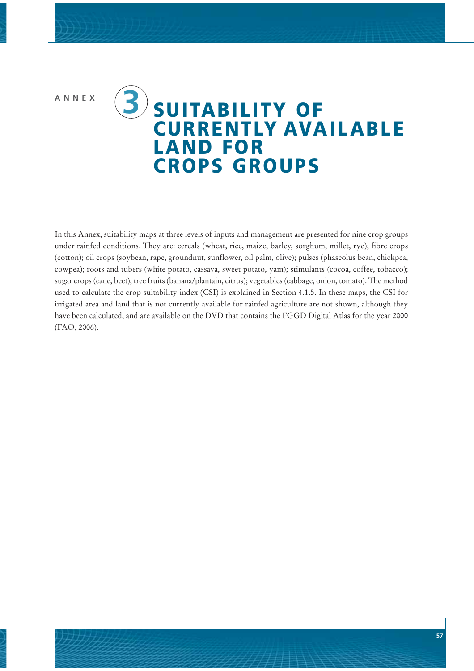## **ANNEX 3 SUITABILITY OF CURRENTLY AVAILABLE LAND FOR CROPS GROUPS**

In this Annex, suitability maps at three levels of inputs and management are presented for nine crop groups under rainfed conditions. They are: cereals (wheat, rice, maize, barley, sorghum, millet, rye); fibre crops (cotton); oil crops (soybean, rape, groundnut, sunflower, oil palm, olive); pulses (phaseolus bean, chickpea, cowpea); roots and tubers (white potato, cassava, sweet potato, yam); stimulants (cocoa, coffee, tobacco); sugar crops (cane, beet); tree fruits (banana/plantain, citrus); vegetables (cabbage, onion, tomato). The method used to calculate the crop suitability index (CSI) is explained in Section 4.1.5. In these maps, the CSI for irrigated area and land that is not currently available for rainfed agriculture are not shown, although they have been calculated, and are available on the DVD that contains the FGGD Digital Atlas for the year 2000 (FAO, 2006).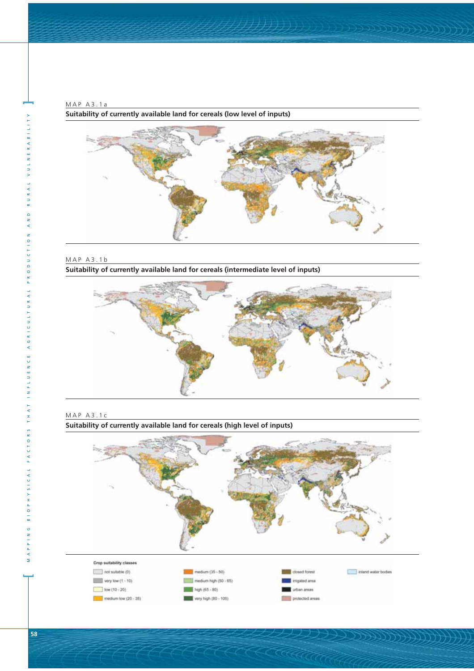MAP A3.1a **Suitability of currently available land for cereals (low level of inputs)**



MAP A3.1b **Suitability of currently available land for cereals (intermediate level of inputs)**







MAPPING BIOPHYSICAL FACTORS THAT INFLUENCE AGRICULTURAL PRODUCTION AND RURAL VULNERABILITY VULNER ∢ RUR AND CTION PRODU AGRICULTURAL INFLUENCE  $H$  A T  $\overline{a}$ ORS  $\frac{1}{\sqrt{2}}$  $F$  A **3 1 0 P H Y S I C A L**  $\circ$ z  $\overline{z}$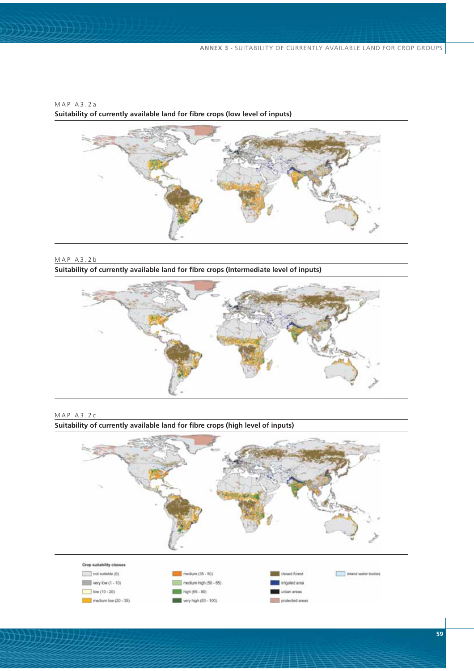

MAP A3.2b **Suitability of currently available land for fibre crops (Intermediate level of inputs)**

MAP A3.2a





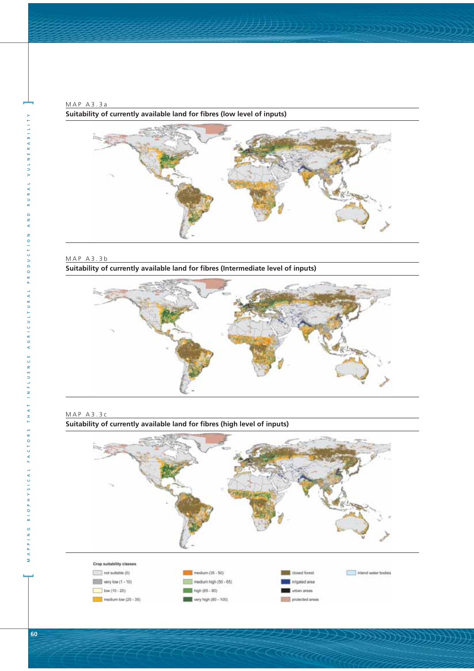MAP A3.3a **Suitability of currently available land for fibres (low level of inputs)**



MAP A3.3b **Suitability of currently available land for fibres (Intermediate level of inputs)**







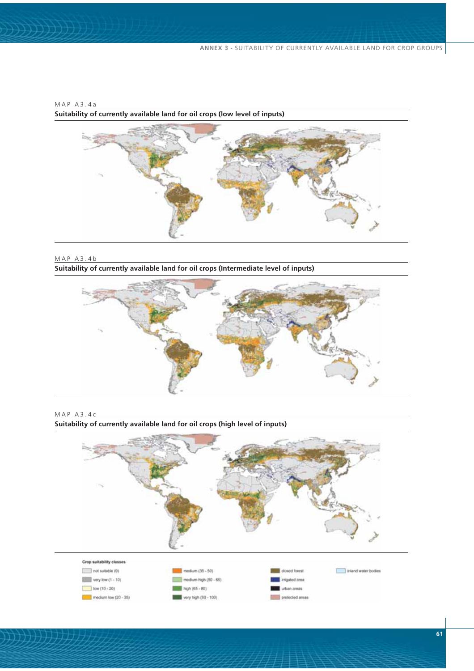

MAP A3.4b **Suitability of currently available land for oil crops (Intermediate level of inputs)**





**Suitability of currently available land for oil crops (high level of inputs)**

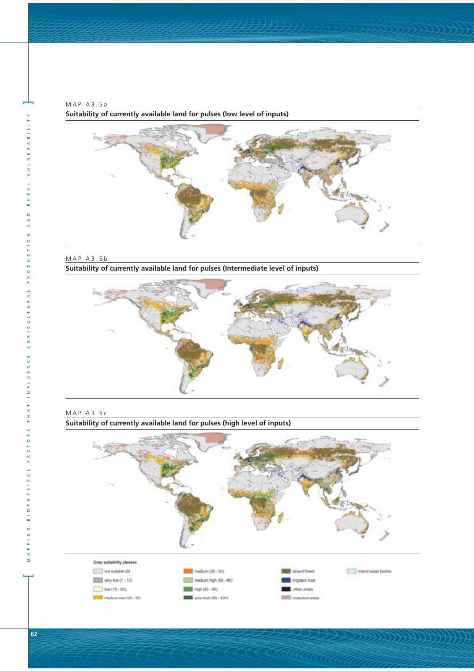MAP A3.5a **Suitability of currently available land for pulses (low level of inputs)**



MAP A3.5b **Suitability of currently available land for pulses (Intermediate level of inputs)**



MAP A3.5c

**Suitability of currently available land for pulses (high level of inputs)**

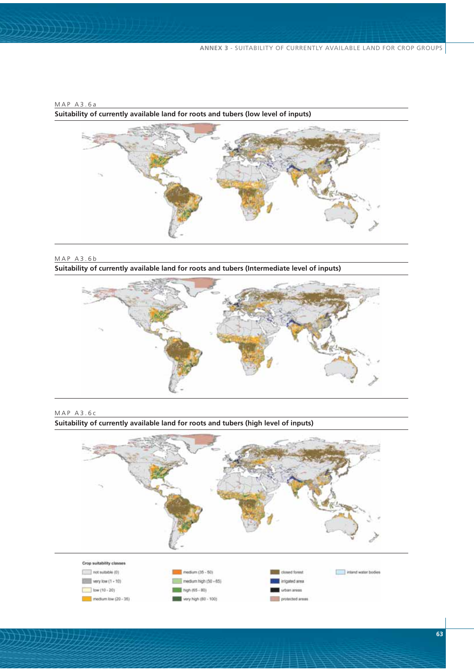

MAP A3.6b **Suitability of currently available land for roots and tubers (Intermediate level of inputs)**





**Suitability of currently available land for roots and tubers (high level of inputs)**

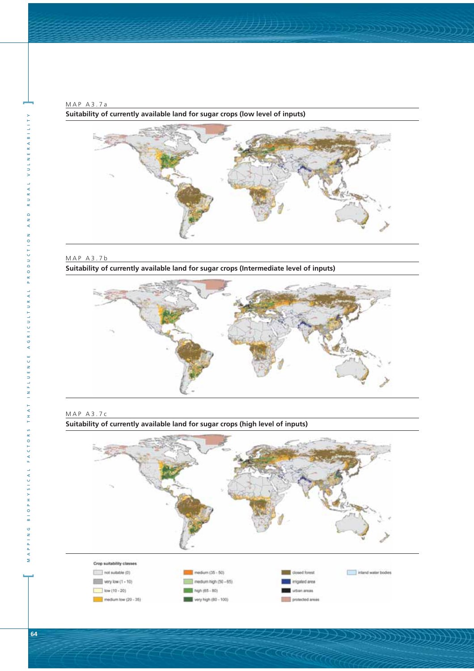MAP A3.7a **Suitability of currently available land for sugar crops (low level of inputs)**



MAP A3.7b

**Suitability of currently available land for sugar crops (Intermediate level of inputs)**





**Suitability of currently available land for sugar crops (high level of inputs)**

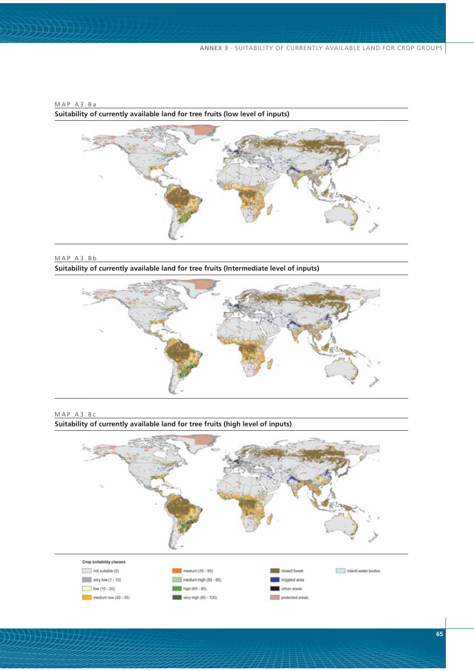

MAP A3.8b

MAP A3.8a

**Suitability of currently available land for tree fruits (Intermediate level of inputs)**